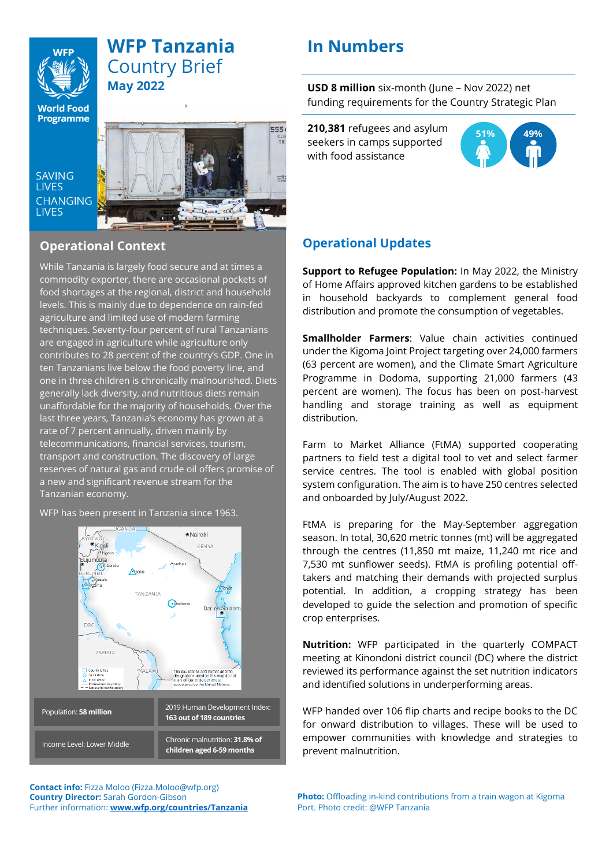

**SAVING** 

**LIVES CHANGING LIVES** 

## **WFP Tanzania** Country Brief **May 2022**

## **In Numbers**

555 CLB<br>TR

 $\frac{1}{165577}$ 

**USD 8 million** six-month (June – Nov 2022) net funding requirements for the Country Strategic Plan

**210,381** refugees and asylum seekers in camps supported with food assistance



### **Operational Updates**

**Support to Refugee Population:** In May 2022, the Ministry of Home Affairs approved kitchen gardens to be established in household backyards to complement general food distribution and promote the consumption of vegetables.

**Smallholder Farmers**: Value chain activities continued under the Kigoma Joint Project targeting over 24,000 farmers (63 percent are women), and the Climate Smart Agriculture Programme in Dodoma, supporting 21,000 farmers (43 percent are women). The focus has been on post-harvest handling and storage training as well as equipment distribution.

Farm to Market Alliance (FtMA) supported cooperating partners to field test a digital tool to vet and select farmer service centres. The tool is enabled with global position system configuration. The aim is to have 250 centres selected and onboarded by July/August 2022.

FtMA is preparing for the May-September aggregation season. In total, 30,620 metric tonnes (mt) will be aggregated through the centres (11,850 mt maize, 11,240 mt rice and 7,530 mt sunflower seeds). FtMA is profiling potential offtakers and matching their demands with projected surplus potential. In addition, a cropping strategy has been developed to guide the selection and promotion of specific crop enterprises.

**Nutrition:** WFP participated in the quarterly COMPACT meeting at Kinondoni district council (DC) where the district reviewed its performance against the set nutrition indicators and identified solutions in underperforming areas.

WFP handed over 106 flip charts and recipe books to the DC for onward distribution to villages. These will be used to empower communities with knowledge and strategies to prevent malnutrition.

**Contact info:** Fizza Moloo (Fizza.Moloo@wfp.org) **Country Director:** Sarah Gordon-Gibson Further information: **[www.wfp.org/countries/Tanzania](file:///C:/Users/tobias.ohgren/AppData/Local/Microsoft/Windows/INetCache/Content.Outlook/HLOZZT5G/www.wfp.org/countries/Tanzania)**

# **Operational Context**

While Tanzania is largely food secure and at times a commodity exporter, there are occasional pockets of food shortages at the regional, district and household levels. This is mainly due to dependence on rain-fed agriculture and limited use of modern farming techniques. Seventy-four percent of rural Tanzanians are engaged in agriculture while agriculture only contributes to 28 percent of the country's GDP. One in ten Tanzanians live below the food poverty line, and one in three children is chronically malnourished. Diets generally lack diversity, and nutritious diets remain unaffordable for the majority of households. Over the last three years, Tanzania's economy has grown at a rate of 7 percent annually, driven mainly by telecommunications, financial services, tourism, transport and construction. The discovery of large reserves of natural gas and crude oil offers promise of a new and significant revenue stream for the Tanzanian economy.

WFP has been present in Tanzania since 1963.



**Photo:** Offloading in-kind contributions from a train wagon at Kigoma Port. Photo credit: @WFP Tanzania